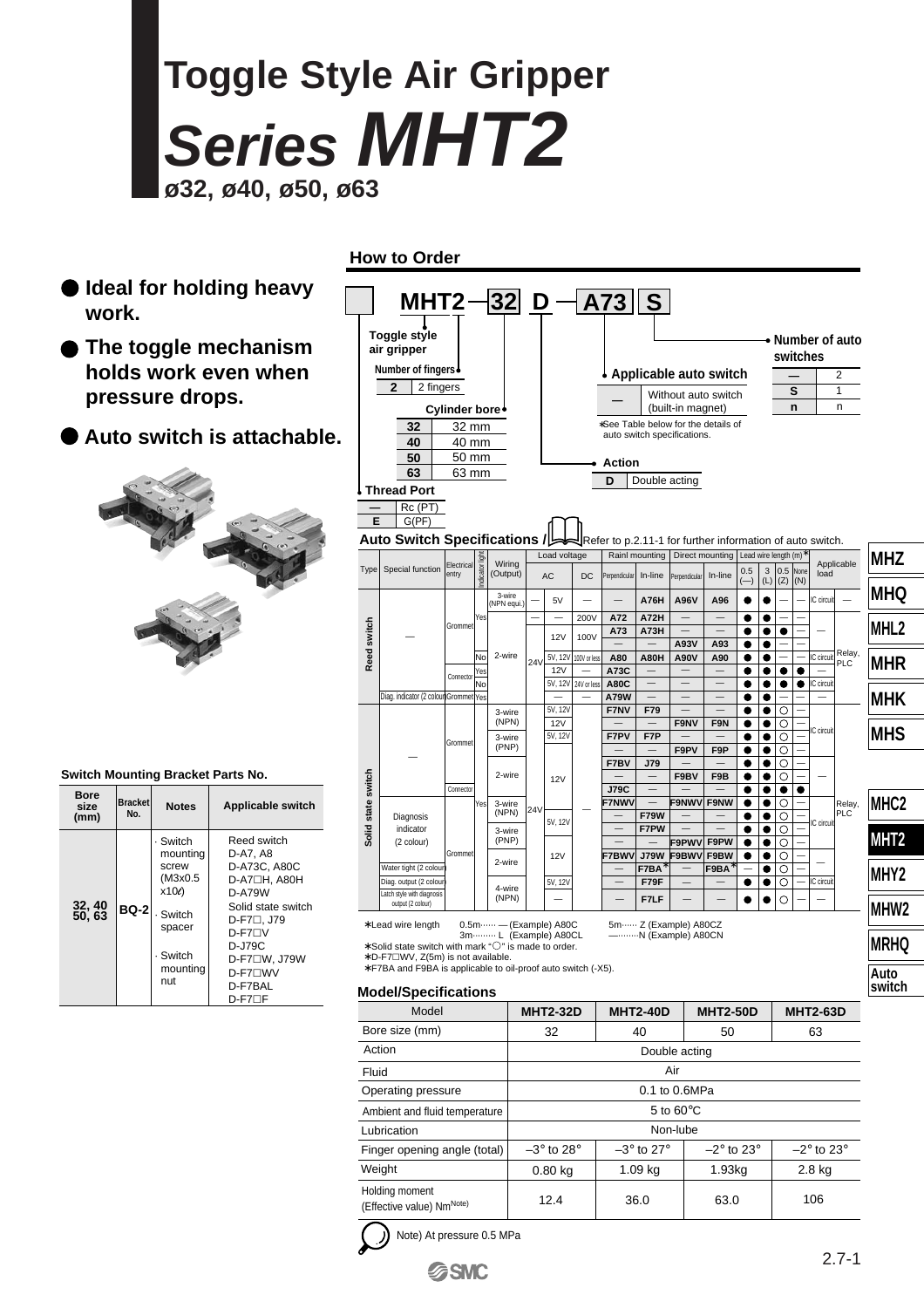# **Toggle Style Air Gripper Series MHT2 ø32, ø40, ø50, ø63**

- **Ideal for holding heavy work.**
- **The toggle mechanism holds work even when pressure drops.**
- **Auto switch is attachable.**



### **Switch Mounting Bracket Parts No.**

| Bore<br>size<br>(mm) | <b>Bracket</b><br>No. | <b>Notes</b>                                                                                          | Applicable switch                                                                                                                                                                                       |
|----------------------|-----------------------|-------------------------------------------------------------------------------------------------------|---------------------------------------------------------------------------------------------------------------------------------------------------------------------------------------------------------|
| 32, 40<br>50, 63     | <b>BQ-2</b>           | - Switch<br>mounting<br>screw<br>(M3x0.5<br>x10e<br>- Switch<br>spacer<br>· Switch<br>mounting<br>nut | Reed switch<br>D-A7, A8<br>D-A73C, A80C<br>D-A7□H. A80H<br>D-A79W<br>Solid state switch<br>$D$ -F7 $\Box$ , J79<br>$D-F7\Box V$<br>D-J79C<br>D-F7□W, J79W<br><b>D-F7</b> ∩WV<br>D-F7BAL<br>$D-F7\Box F$ |

|                         |                  |                                               |                    | <b>How to Order</b>                                                                                     |                        |           |                              |               |                       |                                   |                     |                               |                                                           |                                               |                        |                                        |                       |          |                                       |                          |
|-------------------------|------------------|-----------------------------------------------|--------------------|---------------------------------------------------------------------------------------------------------|------------------------|-----------|------------------------------|---------------|-----------------------|-----------------------------------|---------------------|-------------------------------|-----------------------------------------------------------|-----------------------------------------------|------------------------|----------------------------------------|-----------------------|----------|---------------------------------------|--------------------------|
| ۰k.                     |                  | al for holding heavy                          |                    | MHT2-                                                                                                   |                        |           |                              |               |                       |                                   | $ 32 $ D $-$ A73 S  |                               |                                                           |                                               |                        |                                        |                       |          |                                       |                          |
|                         |                  | toggle mechanism                              |                    | <b>Toggle style</b><br>air gripper                                                                      |                        |           |                              |               |                       |                                   |                     |                               |                                                           |                                               |                        |                                        |                       | switches |                                       | $\bullet$ Number of auto |
| ds work even when       |                  |                                               |                    | Number of fingers↓                                                                                      |                        |           |                              |               |                       | Applicable auto switch            |                     |                               |                                                           |                                               |                        |                                        |                       |          | $\overline{2}$                        |                          |
|                         | ssure drops.     |                                               |                    | 2 fingers<br>2                                                                                          |                        |           |                              |               |                       |                                   |                     |                               | Without auto switch                                       |                                               |                        |                                        |                       | S        |                                       | $\mathbf{1}$             |
| o switch is attachable. |                  |                                               |                    |                                                                                                         | Cylinder bore<br>32 mm |           |                              |               |                       |                                   |                     |                               | (built-in magnet)<br>*See Table below for the details of  |                                               |                        |                                        | n                     |          | $\mathsf{n}$                          |                          |
|                         |                  |                                               |                    | 32<br>40                                                                                                | 40 mm                  |           |                              |               |                       |                                   |                     |                               | auto switch specifications.                               |                                               |                        |                                        |                       |          |                                       |                          |
|                         |                  |                                               |                    | 50                                                                                                      | 50 mm                  |           |                              |               |                       |                                   | <b>Action</b>       |                               |                                                           |                                               |                        |                                        |                       |          |                                       |                          |
|                         |                  |                                               |                    | 63<br><b>Thread Port</b>                                                                                | 63 mm                  |           |                              |               |                       |                                   | D                   |                               | Double acting                                             |                                               |                        |                                        |                       |          |                                       |                          |
|                         |                  |                                               |                    | Rc (PT)                                                                                                 |                        |           |                              |               |                       |                                   |                     |                               |                                                           |                                               |                        |                                        |                       |          |                                       |                          |
|                         |                  |                                               | E                  | G(PF)                                                                                                   |                        |           |                              |               |                       |                                   |                     |                               |                                                           |                                               |                        |                                        |                       |          |                                       |                          |
|                         |                  |                                               |                    | Auto Switch Specifications /                                                                            |                        |           |                              |               |                       |                                   |                     |                               | Refer to p.2.11-1 for further information of auto switch. |                                               |                        |                                        |                       |          |                                       |                          |
|                         |                  |                                               | Type               | Special function                                                                                        | Electrica              |           | Wiring                       |               | Load voltage          |                                   |                     | Rainl mounting                |                                                           | Direct mounting                               | 0.5                    | Lead wire length (m) <sup>2</sup><br>3 | 0.5                   | None     |                                       | Applicable               |
|                         |                  |                                               |                    |                                                                                                         | entry                  | dicato    | (Output)                     |               | AC                    | DC                                | Perpendicular       | In-line                       | Perpendicula                                              | In-line                                       | $(-)$                  | (L)                                    | $(Z)$ $(N)$           |          | load                                  |                          |
|                         |                  |                                               |                    |                                                                                                         |                        |           | 3-wire<br>NPN equi.          |               | 5V                    |                                   |                     | <b>A76H</b>                   | A96V                                                      | A96                                           |                        |                                        |                       |          | IC circuit                            |                          |
|                         |                  |                                               |                    |                                                                                                         | Grommet                | Yes       | 2-wire                       |               |                       | 200V<br>100V                      | A72<br>A73          | <b>A72H</b><br>A73H           |                                                           | $\overline{\phantom{0}}$                      | ●                      | e<br>$\bullet$                         | $\bullet$             |          |                                       |                          |
|                         |                  |                                               | Reed switch        |                                                                                                         |                        |           |                              |               | 12V                   |                                   | $\equiv$            | $\equiv$                      | A93V                                                      | A93                                           | $\bullet$              | e                                      |                       |          | IC circuit                            | Relay,                   |
|                         |                  |                                               |                    |                                                                                                         | Connector              | No<br>Yes |                              | 24V           | 5V, 12V<br><b>12V</b> | 100V or less<br>$\qquad \qquad -$ | A80<br>A73C         | <b>A80H</b>                   | <b>A90V</b>                                               | A90<br>$\overline{\phantom{m}}$               |                        | e<br>e                                 |                       |          |                                       | PLC                      |
|                         |                  |                                               |                    | Diag. indicator (2 colour Grommet Yes                                                                   |                        | No        |                              |               | 5V, 12V               | 24V or less                       | <b>A80C</b><br>A79W | $\equiv$<br>$\qquad \qquad -$ | $\overline{\phantom{0}}$                                  | $\overline{\phantom{0}}$<br>$\qquad \qquad -$ | e                      | e                                      |                       | ●        | C circuit<br>$\overline{\phantom{a}}$ |                          |
|                         |                  |                                               |                    |                                                                                                         |                        |           | 3-wire                       |               | 5V, 12V               |                                   | F7NV                | F79                           | $\overline{\phantom{0}}$                                  | $\equiv$                                      | ●                      | e                                      | $\circ$               |          |                                       |                          |
|                         |                  |                                               |                    |                                                                                                         |                        |           | (NPN)<br>3-wire              |               | 12V<br>5V, 12V        |                                   | F7PV                | F7P                           | F9NV                                                      | F9N                                           | e                      | ●<br>$\bullet$                         | $\circ$<br>$\circ$    |          | C circuit                             |                          |
|                         |                  |                                               |                    |                                                                                                         | Grommet                |           | (PNP)                        |               |                       |                                   |                     |                               | F9PV                                                      | F9P                                           | e                      | e                                      | $\circ$               |          |                                       |                          |
|                         |                  | ounting Bracket Parts No.                     |                    |                                                                                                         |                        |           | 2-wire                       |               | <b>12V</b>            |                                   | F7BV                | J79                           | F9BV                                                      | F9B                                           |                        | e                                      | $\circ$<br>O          |          |                                       |                          |
|                         |                  |                                               |                    |                                                                                                         | Connector              |           |                              |               |                       |                                   | <b>J79C</b>         | $\overline{\phantom{a}}$      |                                                           |                                               |                        | e                                      |                       | 0        |                                       |                          |
| <b>Bracket</b><br>No.   | <b>Notes</b>     | Applicable switch                             | Solid state switch | Diagnosis                                                                                               |                        | res       | 3-wire<br>(NPN)              | 24V           |                       |                                   | <b>F7NWV</b>        | <b>F79W</b>                   | F9NWV F9NW                                                |                                               | ●                      | e<br>$\bullet$                         | $\circ$<br>$\circ$    |          |                                       | Relay,<br>PLC            |
|                         | Switch           | Reed switch                                   |                    | indicator<br>(2 colour)                                                                                 |                        |           | 3-wire<br>(PNP)              |               | 5V, 12V               |                                   |                     | F7PW                          | F9PWV                                                     | F9PW                                          | $\bullet$<br>$\bullet$ | $\bullet$<br>٠                         | $\circ$<br>$\circ$    |          | IC circuit                            |                          |
|                         | mounting         | D-A7, A8                                      |                    |                                                                                                         | Grommet                |           | 2-wire                       |               | <b>12V</b>            |                                   | F7BWV               | <b>J79W</b>                   | F9BWV                                                     | F9BW                                          | $\bullet$              |                                        | $\circ$               |          |                                       |                          |
|                         | screw<br>(M3x0.5 | D-A73C, A80C<br>D-A7□H, A80H                  |                    | Water tight (2 colour<br>Diag. output (2 colour                                                         |                        |           |                              |               | 5V, 12V               |                                   | $\qquad \qquad$     | F7BA<br>F79F                  |                                                           | F9BA                                          |                        | e<br>$\bullet$                         | $\circ$<br>$\bigcirc$ |          | IC circuit                            |                          |
|                         | $x10\ell$        | <b>D-A79W</b>                                 |                    | Latch style with diagnosis<br>output (2 colour)                                                         |                        |           | 4-wire<br>(NPN)              |               |                       |                                   |                     | F7LF                          |                                                           |                                               |                        | $\bullet$                              | $\circ$               |          |                                       |                          |
| BQ-2                    | Switch           | Solid state switch<br>D-F7□, J79              |                    | * Lead wire length                                                                                      |                        |           | 0.5m ······ - (Example) A80C |               |                       |                                   |                     |                               | 5m ······ Z (Example) A80CZ                               |                                               |                        |                                        |                       |          |                                       |                          |
|                         | spacer<br>Switch | D-F7 <sub>D</sub> V<br>D-J79C<br>D-F7□W, J79W |                    | * Solid state switch with mark "O" is made to order.<br>* D-F7 <sup>I</sup> WV, Z(5m) is not available. |                        |           | 3m  L (Example) A80CL        |               |                       |                                   |                     |                               | ---------N (Example) A80CN                                |                                               |                        |                                        |                       |          |                                       |                          |
|                         | mounting<br>nut  | <b>D-F7</b> □WV<br>D-F7BAL<br>$D-F7\Box F$    |                    | * F7BA and F9BA is applicable to oil-proof auto switch (-X5).<br><b>Model/Specifications</b>            |                        |           |                              |               |                       |                                   |                     |                               |                                                           |                                               |                        |                                        |                       |          |                                       |                          |
|                         |                  |                                               |                    | Model                                                                                                   |                        |           |                              |               | <b>MHT2-32D</b>       |                                   |                     | <b>MHT2-40D</b>               |                                                           | <b>MHT2-50D</b>                               |                        |                                        |                       |          | <b>MHT2-63D</b>                       |                          |
|                         |                  |                                               |                    | Bore size (mm)                                                                                          |                        |           |                              |               | 32                    |                                   |                     | 40                            |                                                           | 50                                            |                        |                                        |                       |          | 63                                    |                          |
|                         |                  |                                               |                    | Action                                                                                                  |                        |           |                              | Double acting |                       |                                   |                     |                               |                                                           |                                               |                        |                                        |                       |          |                                       |                          |

| Action                                      | Double acting             |                           |                          |                          |  |  |  |  |  |  |  |
|---------------------------------------------|---------------------------|---------------------------|--------------------------|--------------------------|--|--|--|--|--|--|--|
| Fluid                                       | Air                       |                           |                          |                          |  |  |  |  |  |  |  |
| Operating pressure                          |                           |                           |                          |                          |  |  |  |  |  |  |  |
| Ambient and fluid temperature               |                           |                           |                          |                          |  |  |  |  |  |  |  |
| Lubrication                                 |                           | Non-lube                  |                          |                          |  |  |  |  |  |  |  |
| Finger opening angle (total)                | $-3^\circ$ to 28 $^\circ$ | $-3^\circ$ to 27 $^\circ$ | $-2^\circ$ to $23^\circ$ | $-2^\circ$ to $23^\circ$ |  |  |  |  |  |  |  |
| Weight                                      | $0.80$ kg                 | $1.09$ kg                 | 1.93 <sub>kq</sub>       | $2.8$ kg                 |  |  |  |  |  |  |  |
| Holding moment<br>(Effective value) NmNote) | 12.4                      | 36.0                      | 63.0                     | 106                      |  |  |  |  |  |  |  |



Note) At pressure 0.5 MPa

**SSMC** 

**MHT2**

**MHY2**

**MHW2**

**MRHQ Auto switch**

**MHC2**

**MHZ**

**MHQ**

**MHL2**

**MHR**

**MHK**

**MHS**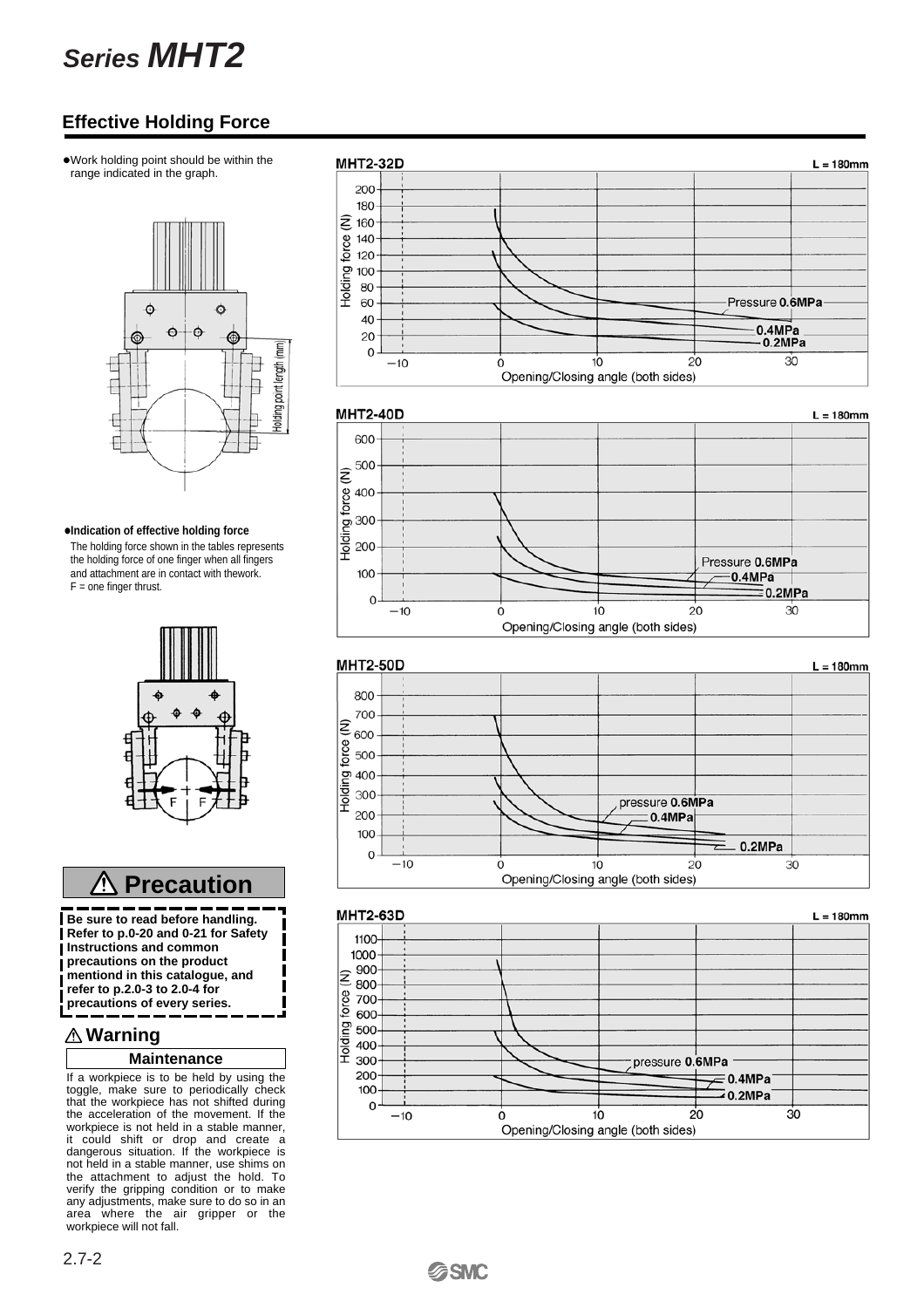## **Series MHT2**

### **Effective Holding Force**

•Work holding point should be within the range indicated in the graph.



#### **•Indication of effective holding force**

The holding force shown in the tables represents the holding force of one finger when all fingers and attachment are in contact with thework.  $F =$  one finger thrust.



#### **Precaution** ⁄!\

**Be sure to read before handling. Refer to p.0-20 and 0-21 for Safety Instructions and common precautions on the product mentiond in this catalogue, and refer to p.2.0-3 to 2.0-4 for precautions of every series.**

### **Warning**

 $\overline{\phantom{a}}$ 

### **Maintenance**

If a workpiece is to be held by using the toggle, make sure to periodically check that the workpiece has not shifted during the acceleration of the movement. If the workpiece is not held in a stable manner, it could shift or drop and create a dangerous situation. If the workpiece is not held in a stable manner, use shims on the attachment to adjust the hold. To verify the gripping condition or to make any adjustments, make sure to do so in an area where the air gripper or the workpiece will not fall.

#### **MHT2-32D**  $L = 180$ mm 200 180  $\widehat{z}$ 160 force  $140$ 120 Holding f 100 80 60 Pressure 0.6MPa 40  $0.4MPa$ 20  $0.2MPa$  $\Omega$  $30$ 10  $20$  $-10$  $\dot{o}$ Opening/Closing angle (both sides)

### **MHT2-40D**





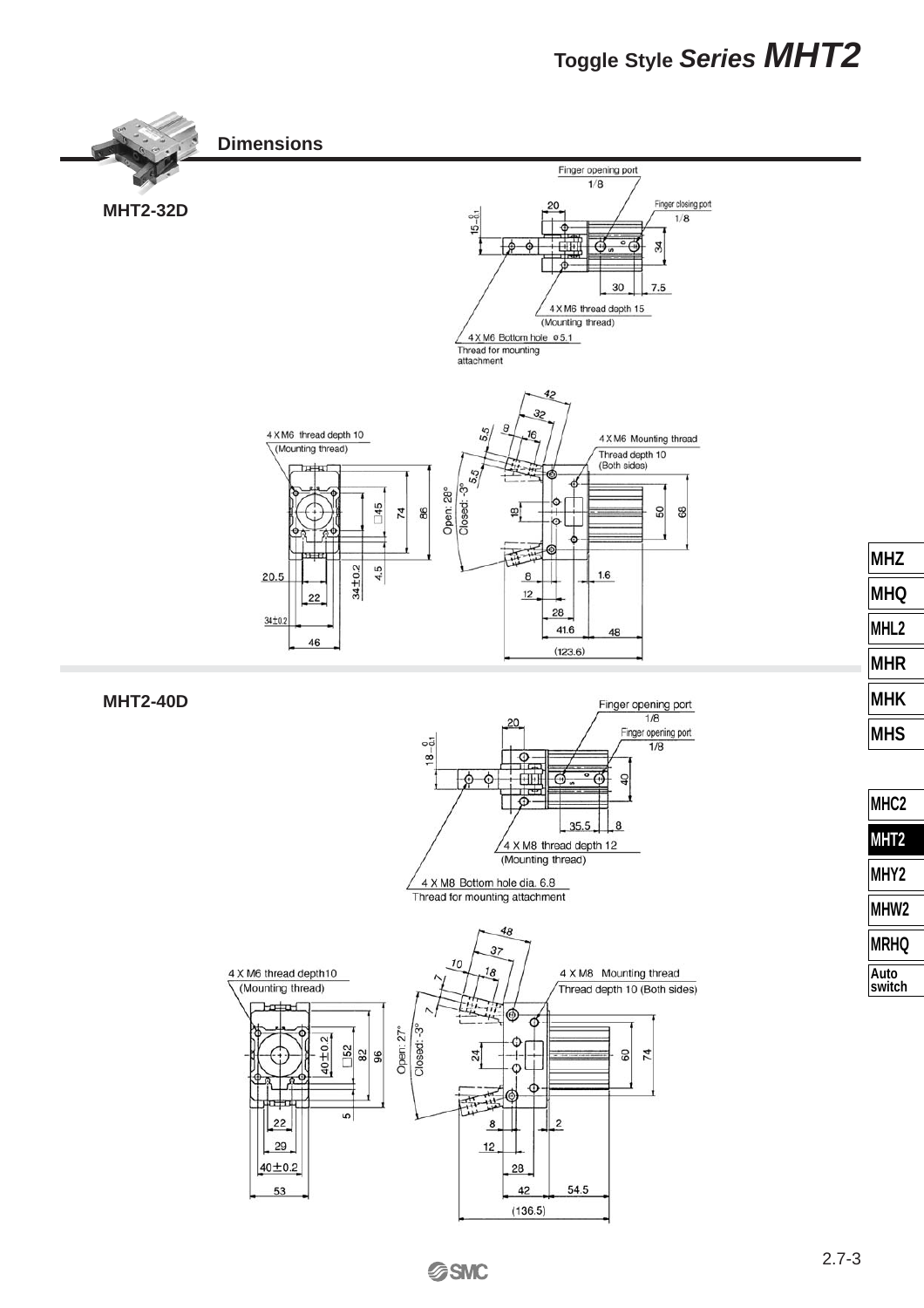### **Toggle Style Series MHT2**



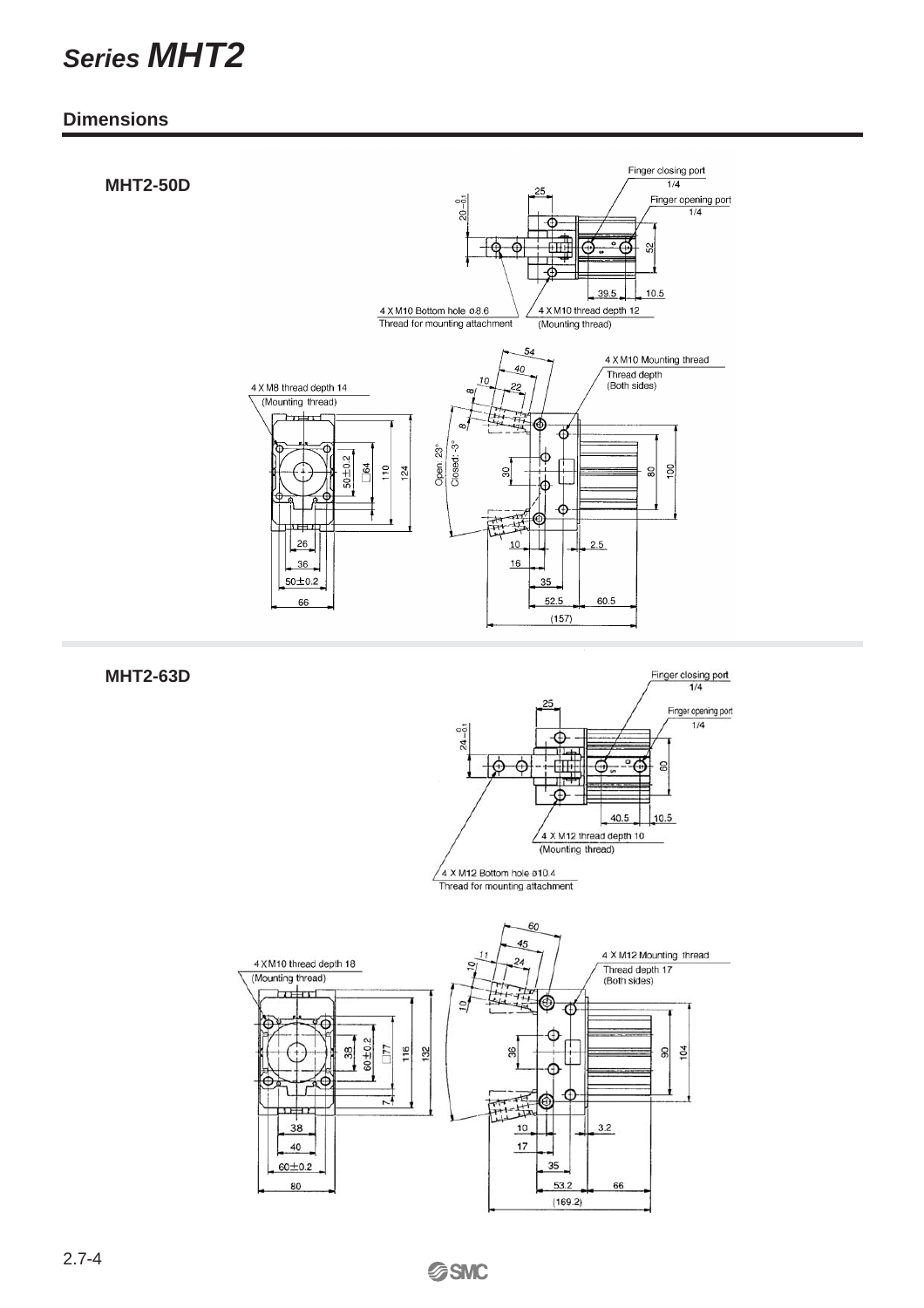## **Series MHT2**

### **Dimensions**

### **MHT2-50D**



**MHT2-63D**



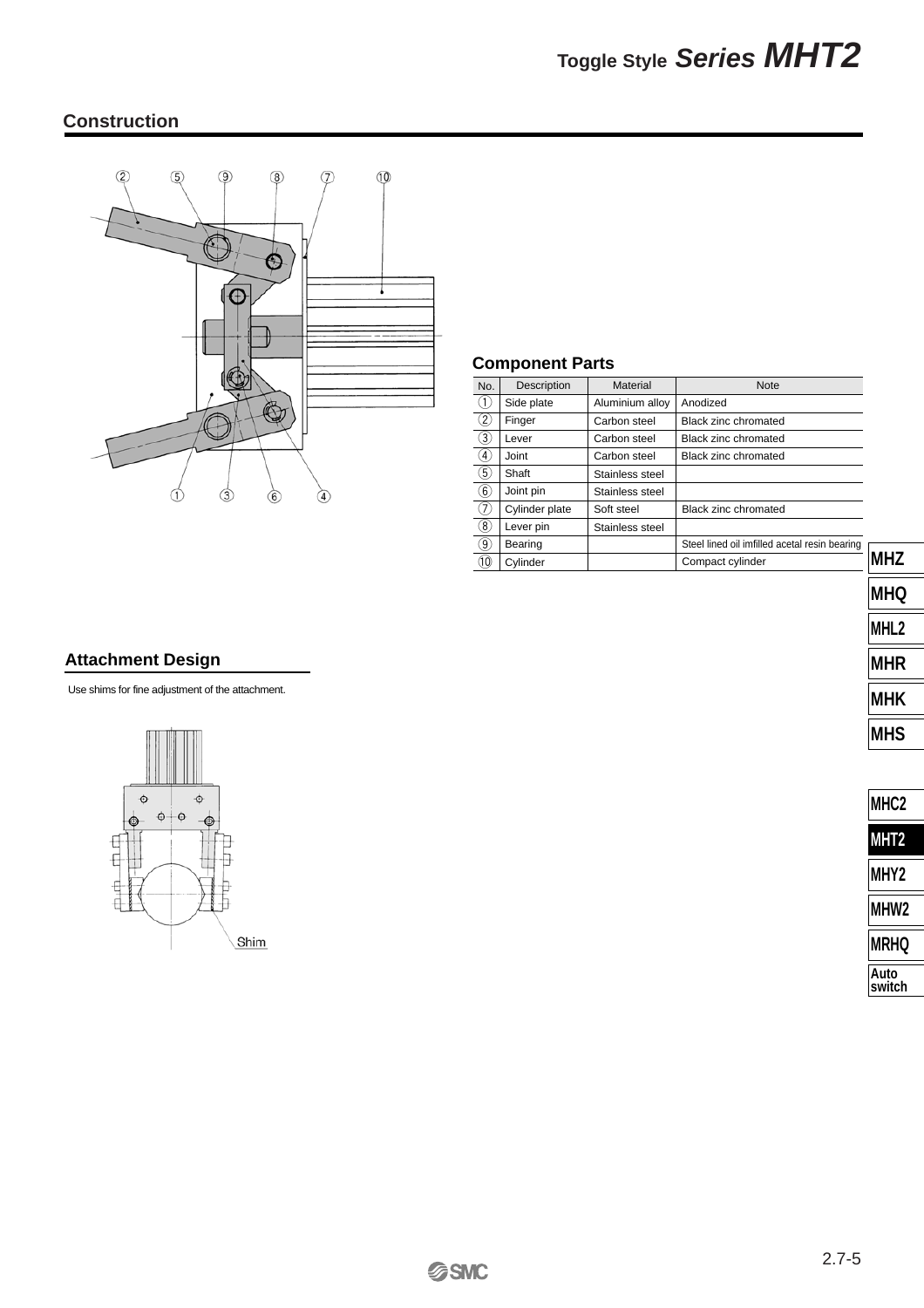### **Construction**



### **Component Parts**

| No.               | Description    | Material        | <b>Note</b>                                   |
|-------------------|----------------|-----------------|-----------------------------------------------|
| $\circled{1}$     | Side plate     | Aluminium alloy | Anodized                                      |
| ②                 | Finger         | Carbon steel    | Black zinc chromated                          |
| (3)               | Lever          | Carbon steel    | Black zinc chromated                          |
| $\left( 4\right)$ | Joint          | Carbon steel    | Black zinc chromated                          |
| ⑤                 | Shaft          | Stainless steel |                                               |
| $\Large 6$        | Joint pin      | Stainless steel |                                               |
| T,                | Cylinder plate | Soft steel      | Black zinc chromated                          |
| $\circledS$       | Lever pin      | Stainless steel |                                               |
| $\odot$           | Bearing        |                 | Steel lined oil imfilled acetal resin bearing |
| $^\circledR$      | Cylinder       |                 | Compact cylinder                              |
|                   |                |                 |                                               |

### **Attachment Design**

Use shims for fine adjustment of the attachment.



| <b>MHK</b>       |
|------------------|
| MHS              |
|                  |
| MHC <sub>2</sub> |
| MHT <sub>2</sub> |
| MHY2             |
| <b>MHW2</b>      |

**MHZ**

**MHQ**

**MHL2**

**MHR**

| <b>IMRHQ</b> |
|--------------|
| Auto         |

**switch**